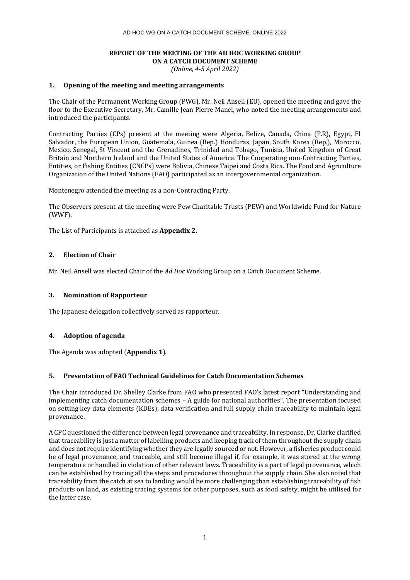# **REPORT OF THE MEETING OF THE AD HOC WORKING GROUP ON A CATCH DOCUMENT SCHEME**

*(Online, 4-5 April 2022)*

## **1. Opening of the meeting and meeting arrangements**

The Chair of the Permanent Working Group (PWG), Mr. Neil Ansell (EU), opened the meeting and gave the floor to the Executive Secretary, Mr. Camille Jean Pierre Manel, who noted the meeting arrangements and introduced the participants.

Contracting Parties (CPs) present at the meeting were Algeria, Belize, Canada, China (P.R), Egypt, El Salvador, the European Union, Guatemala, Guinea (Rep.) Honduras, Japan, South Korea (Rep.), Morocco, Mexico, Senegal, St Vincent and the Grenadines, Trinidad and Tobago, Tunisia, United Kingdom of Great Britain and Northern Ireland and the United States of America. The Cooperating non-Contracting Parties, Entities, or Fishing Entities (CNCPs) were Bolivia, Chinese Taipei and Costa Rica. The Food and Agriculture Organization of the United Nations (FAO) participated as an intergovernmental organization.

Montenegro attended the meeting as a non-Contracting Party.

The Observers present at the meeting were Pew Charitable Trusts (PEW) and Worldwide Fund for Nature (WWF).

The List of Participants is attached as **Appendix 2.**

## **2. Election of Chair**

Mr. Neil Ansell was elected Chair of the *Ad Hoc* Working Group on a Catch Document Scheme.

## **3. Nomination of Rapporteur**

The Japanese delegation collectively served as rapporteur.

## **4. Adoption of agenda**

The Agenda was adopted (**Appendix 1**).

## **5. Presentation of FAO Technical Guidelines for Catch Documentation Schemes**

The Chair introduced Dr. Shelley Clarke from FAO who presented FAO's latest report "Understanding and implementing catch documentation schemes – A guide for national authorities". The presentation focused on setting key data elements (KDEs), data verification and full supply chain traceability to maintain legal provenance.

A CPC questioned the difference between legal provenance and traceability. In response, Dr. Clarke clarified that traceability is just a matter of labelling products and keeping track of them throughout the supply chain and does not require identifying whether they are legally sourced or not. However, a fisheries product could be of legal provenance, and traceable, and still become illegal if, for example, it was stored at the wrong temperature or handled in violation of other relevant laws. Traceability is a part of legal provenance, which can be established by tracing all the steps and procedures throughout the supply chain. She also noted that traceability from the catch at sea to landing would be more challenging than establishing traceability of fish products on land, as existing tracing systems for other purposes, such as food safety, might be utilised for the latter case.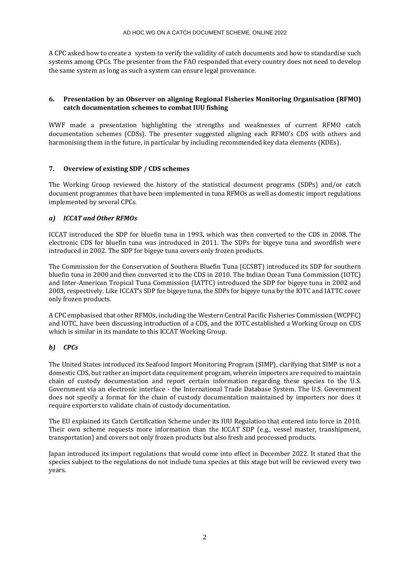A CPC asked how to create a system to verify the validity of catch documents and how to standardise such systems among CPCs. The presenter from the FAO responded that every country does not need to develop the same system as long as such a system can ensure legal provenance.

# **6. Presentation by an Observer on aligning Regional Fisheries Monitoring Organisation (RFMO) catch documentation schemes to combat IUU fishing**

WWF made a presentation highlighting the strengths and weaknesses of current RFMO catch documentation schemes (CDSs). The presenter suggested aligning each RFMO's CDS with others and harmonising them in the future, in particular by including recommended key data elements (KDEs).

# **7. Overview of existing SDP / CDS schemes**

The Working Group reviewed the history of the statistical document programs (SDPs) and/or catch document programmes that have been implemented in tuna RFMOs as well as domestic import regulations implemented by several CPCs.

# *a) ICCAT and Other RFMOs*

ICCAT introduced the SDP for bluefin tuna in 1993, which was then converted to the CDS in 2008. The electronic CDS for bluefin tuna was introduced in 2011. The SDPs for bigeye tuna and swordfish were introduced in 2002. The SDP for bigeye tuna covers only frozen products.

The Commission for the Conservation of Southern Bluefin Tuna (CCSBT) introduced its SDP for southern bluefin tuna in 2000 and then converted it to the CDS in 2010. The Indian Ocean Tuna Commission (IOTC) and Inter-American Tropical Tuna Commission (IATTC) introduced the SDP for bigeye tuna in 2002 and 2003, respectively. Like ICCAT's SDP for bigeye tuna, the SDPs for bigeye tuna by the IOTC and IATTC cover only frozen products.

A CPC emphasised that other RFMOs, including the Western Central Pacific Fisheries Commission (WCPFC) and IOTC, have been discussing introduction of a CDS, and the IOTC established a Working Group on CDS which is similar in its mandate to this ICCAT Working Group.

# *b) CPCs*

The United States introduced its Seafood Import Monitoring Program (SIMP), clarifying that SIMP is not a domestic CDS, but rather an import data requirement program, wherein importers are required to maintain chain of custody documentation and report certain information regarding these species to the U.S. Government via an electronic interface - the International Trade Database System. The U.S. Government does not specify a format for the chain of custody documentation maintained by importers nor does it require exporters to validate chain of custody documentation.

The EU explained its Catch Certification Scheme under its IUU Regulation that entered into force in 2010. Their own scheme requests more information than the ICCAT SDP (e.g., vessel master, transhipment, transportation) and covers not only frozen products but also fresh and processed products.

Japan introduced its import regulations that would come into effect in December 2022. It stated that the species subject to the regulations do not include tuna species at this stage but will be reviewed every two years.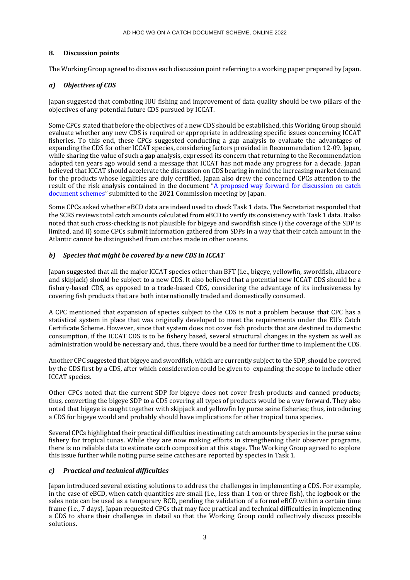## **8. Discussion points**

The Working Group agreed to discuss each discussion point referring to a working paper prepared by Japan.

## *a) Objectives of CDS*

Japan suggested that combating IUU fishing and improvement of data quality should be two pillars of the objectives of any potential future CDS pursued by ICCAT.

Some CPCs stated that before the objectives of a new CDS should be established, this Working Group should evaluate whether any new CDS is required or appropriate in addressing specific issues concerning ICCAT fisheries. To this end, these CPCs suggested conducting a gap analysis to evaluate the advantages of expanding the CDS for other ICCAT species, considering factors provided in Recommendation 12-09. Japan, while sharing the value of such a gap analysis, expressed its concern that returning to the Recommendation adopted ten years ago would send a message that ICCAT has not made any progress for a decade. Japan believed that ICCAT should accelerate the discussion on CDS bearing in mind the increasing market demand for the products whose legalities are duly certified. Japan also drew the concerned CPCs attention to the result of the risk analysis contained in the document "A proposed way forward for discussion on catch [document schemes](https://www.iccat.int/com2021/ENG/PWG_410_APP1_ENG.pdf)" submitted to the 2021 Commission meeting by Japan.

Some CPCs asked whether eBCD data are indeed used to check Task 1 data. The Secretariat responded that the SCRS reviews total catch amounts calculated from eBCD to verify its consistency with Task 1 data. It also noted that such cross-checking is not plausible for bigeye and swordfish since i) the coverage of the SDP is limited, and ii) some CPCs submit information gathered from SDPs in a way that their catch amount in the Atlantic cannot be distinguished from catches made in other oceans.

## *b) Species that might be covered by a new CDS in ICCAT*

Japan suggested that all the major ICCAT species other than BFT (i.e., bigeye, yellowfin, swordfish, albacore and skipjack) should be subject to a new CDS. It also believed that a potential new ICCAT CDS should be a fishery-based CDS, as opposed to a trade-based CDS, considering the advantage of its inclusiveness by covering fish products that are both internationally traded and domestically consumed.

A CPC mentioned that expansion of species subject to the CDS is not a problem because that CPC has a statistical system in place that was originally developed to meet the requirements under the EU's Catch Certificate Scheme. However, since that system does not cover fish products that are destined to domestic consumption, if the ICCAT CDS is to be fishery based, several structural changes in the system as well as administration would be necessary and, thus, there would be a need for further time to implement the CDS.

Another CPC suggested that bigeye and swordfish, which are currently subject to the SDP, should be covered by the CDS first by a CDS, after which consideration could be given to expanding the scope to include other ICCAT species.

Other CPCs noted that the current SDP for bigeye does not cover fresh products and canned products; thus, converting the bigeye SDP to a CDS covering all types of products would be a way forward. They also noted that bigeye is caught together with skipjack and yellowfin by purse seine fisheries; thus, introducing a CDS for bigeye would and probably should have implications for other tropical tuna species.

Several CPCs highlighted their practical difficulties in estimating catch amounts by species in the purse seine fishery for tropical tunas. While they are now making efforts in strengthening their observer programs, there is no reliable data to estimate catch composition at this stage. The Working Group agreed to explore this issue further while noting purse seine catches are reported by species in Task 1.

## *c) Practical and technical difficulties*

Japan introduced several existing solutions to address the challenges in implementing a CDS. For example, in the case of eBCD, when catch quantities are small (i.e., less than 1 ton or three fish), the logbook or the sales note can be used as a temporary BCD, pending the validation of a formal eBCD within a certain time frame (i.e., 7 days). Japan requested CPCs that may face practical and technical difficulties in implementing a CDS to share their challenges in detail so that the Working Group could collectively discuss possible solutions.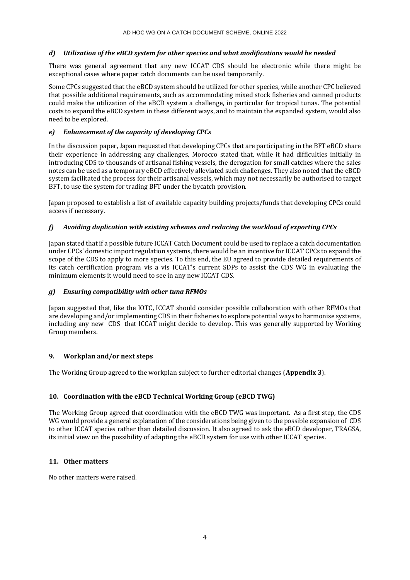# *d) Utilization of the eBCD system for other species and what modifications would be needed*

There was general agreement that any new ICCAT CDS should be electronic while there might be exceptional cases where paper catch documents can be used temporarily.

Some CPCs suggested that the eBCD system should be utilized for other species, while another CPC believed that possible additional requirements, such as accommodating mixed stock fisheries and canned products could make the utilization of the eBCD system a challenge, in particular for tropical tunas. The potential costs to expand the eBCD system in these different ways, and to maintain the expanded system, would also need to be explored.

# *e) Enhancement of the capacity of developing CPCs*

In the discussion paper, Japan requested that developing CPCs that are participating in the BFT eBCD share their experience in addressing any challenges, Morocco stated that, while it had difficulties initially in introducing CDS to thousands of artisanal fishing vessels, the derogation for small catches where the sales notes can be used as a temporary eBCD effectively alleviated such challenges. They also noted that the eBCD system facilitated the process for their artisanal vessels, which may not necessarily be authorised to target BFT, to use the system for trading BFT under the bycatch provision.

Japan proposed to establish a list of available capacity building projects/funds that developing CPCs could access if necessary.

# *f) Avoiding duplication with existing schemes and reducing the workload of exporting CPCs*

Japan stated that if a possible future ICCAT Catch Document could be used to replace a catch documentation under CPCs' domestic import regulation systems, there would be an incentive for ICCAT CPCs to expand the scope of the CDS to apply to more species. To this end, the EU agreed to provide detailed requirements of its catch certification program vis a vis ICCAT's current SDPs to assist the CDS WG in evaluating the minimum elements it would need to see in any new ICCAT CDS.

## *g) Ensuring compatibility with other tuna RFMOs*

Japan suggested that, like the IOTC, ICCAT should consider possible collaboration with other RFMOs that are developing and/or implementing CDS in their fisheries to explore potential ways to harmonise systems, including any new CDS that ICCAT might decide to develop. This was generally supported by Working Group members.

## **9. Workplan and/or next steps**

The Working Group agreed to the workplan subject to further editorial changes (**Appendix 3**).

# **10. Coordination with the eBCD Technical Working Group (eBCD TWG)**

The Working Group agreed that coordination with the eBCD TWG was important. As a first step, the CDS WG would provide a general explanation of the considerations being given to the possible expansion of CDS to other ICCAT species rather than detailed discussion. It also agreed to ask the eBCD developer, TRAGSA, its initial view on the possibility of adapting the eBCD system for use with other ICCAT species.

## **11. Other matters**

No other matters were raised.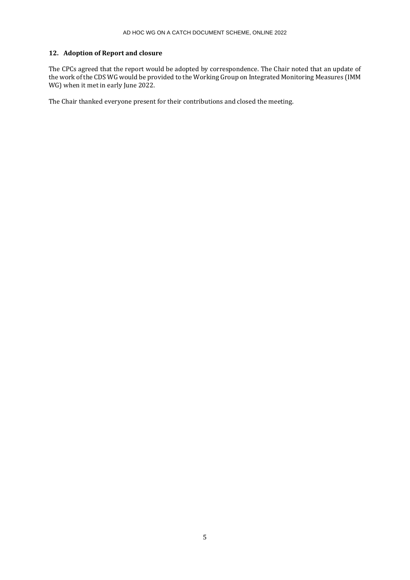# **12. Adoption of Report and closure**

The CPCs agreed that the report would be adopted by correspondence. The Chair noted that an update of the work of the CDS WG would be provided to the Working Group on Integrated Monitoring Measures (IMM WG) when it met in early June 2022.

The Chair thanked everyone present for their contributions and closed the meeting.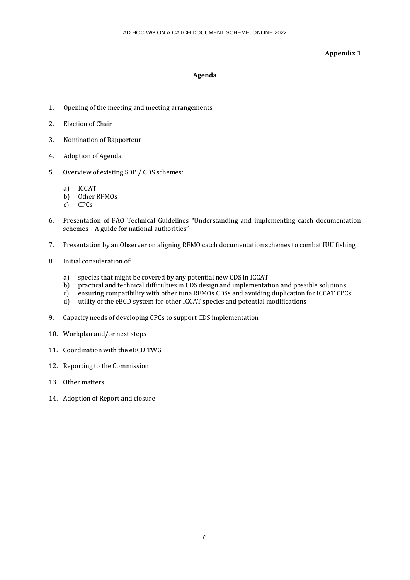## **Appendix 1**

## **Agenda**

- 1. Opening of the meeting and meeting arrangements
- 2. Election of Chair
- 3. Nomination of Rapporteur
- 4. Adoption of Agenda
- 5. Overview of existing SDP / CDS schemes:
	- a) ICCAT
	- b) Other RFMOs
	- c) CPCs
- 6. Presentation of FAO Technical Guidelines "Understanding and implementing catch documentation schemes – A guide for national authorities"
- 7. Presentation by an Observer on aligning RFMO catch documentation schemes to combat IUU fishing
- 8. Initial consideration of:
	- a) species that might be covered by any potential new CDS in ICCAT
	- b) practical and technical difficulties in CDS design and implementation and possible solutions
	- c) ensuring compatibility with other tuna RFMOs CDSs and avoiding duplication for ICCAT CPCs
	- d) utility of the eBCD system for other ICCAT species and potential modifications
- 9. Capacity needs of developing CPCs to support CDS implementation
- 10. Workplan and/or next steps
- 11. Coordination with the eBCD TWG
- 12. Reporting to the Commission
- 13. Other matters
- 14. Adoption of Report and closure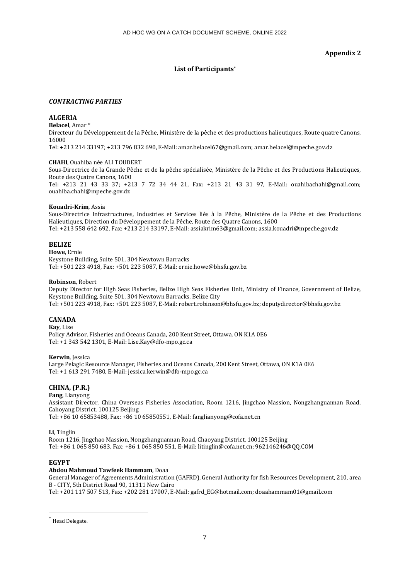## **Appendix 2**

# **List of Participants**\*

## *CONTRACTING PARTIES*

## **ALGERIA**

**Belacel**, Amar \*

Directeur du Développement de la Pêche, Ministère de la pêche et des productions halieutiques, Route quatre Canons, 16000

Tel: +213 214 33197; +213 796 832 690, E-Mail: amar.belacel67@gmail.com; amar.belacel@mpeche.gov.dz

### **CHAHI**, Ouahiba née ALI TOUDERT

Sous-Directrice de la Grande Pêche et de la pêche spécialisée, Ministère de la Pêche et des Productions Halieutiques, Route des Quatre Canons, 1600

Tel: +213 21 43 33 37; +213 7 72 34 44 21, Fax: +213 21 43 31 97, E-Mail: ouahibachahi@gmail.com; ouahiba.chahi@mpeche.gov.dz

### **Kouadri-Krim**, Assia

Sous-Directrice Infrastructures, Industries et Services liés à la Pêche, Ministère de la Pêche et des Productions Halieutiques, Direction du Développement de la Pêche, Route des Quatre Canons, 1600 Tel: +213 558 642 692, Fax: +213 214 33197, E-Mail: assiakrim63@gmail.com; assia.kouadri@mpeche.gov.dz

## **BELIZE**

**Howe**, Ernie Keystone Building, Suite 501, 304 Newtown Barracks Tel: +501 223 4918, Fax: +501 223 5087, E-Mail: ernie.howe@bhsfu.gov.bz

### **Robinson**, Robert

Deputy Director for High Seas Fisheries, Belize High Seas Fisheries Unit, Ministry of Finance, Government of Belize, Keystone Building, Suite 501, 304 Newtown Barracks, Belize City Tel: +501 223 4918, Fax: +501 223 5087, E-Mail: robert.robinson@bhsfu.gov.bz; deputydirector@bhsfu.gov.bz

## **CANADA**

**Kay**, Lise Policy Advisor, Fisheries and Oceans Canada, 200 Kent Street, Ottawa, ON K1A 0E6 Tel: +1 343 542 1301, E-Mail: Lise.Kay@dfo-mpo.gc.ca

**Kerwin**, Jessica

Large Pelagic Resource Manager, Fisheries and Oceans Canada, 200 Kent Street, Ottawa, ON K1A 0E6 Tel: +1 613 291 7480, E-Mail: jessica.kerwin@dfo-mpo.gc.ca

# **CHINA, (P.R.)**

**Fang**, Lianyong Assistant Director, China Overseas Fisheries Association, Room 1216, Jingchao Massion, Nongzhanguannan Road, Cahoyang District, 100125 Beijing Tel: +86 10 65853488, Fax: +86 10 65850551, E-Mail: fanglianyong@cofa.net.cn

**Li**, Tinglin

Room 1216, Jingchao Massion, Nongzhanguannan Road, Chaoyang District, 100125 Beijing Tel: +86 1 065 850 683, Fax: +86 1 065 850 551, E-Mail: litinglin@cofa.net.cn; 962146246@QQ.COM

## **EGYPT**

## **Abdou Mahmoud Tawfeek Hammam**, Doaa

General Manager of Agreements Administration (GAFRD), General Authority for fish Resources Development, 210, area B - CITY, 5th District Road 90, 11311 New Cairo Tel: +201 117 507 513, Fax: +202 281 17007, E-Mail: gafrd\_EG@hotmail.com; doaahammam01@gmail.com

\* Head Delegate.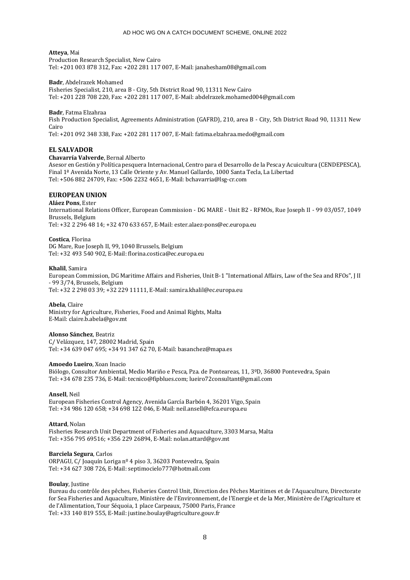#### **Atteya**, Mai

Production Research Specialist, New Cairo Tel: +201 003 878 312, Fax: +202 281 117 007, E-Mail: janahesham08@gmail.com

### **Badr**, Abdelrazek Mohamed

Fisheries Specialist, 210, area B - City, 5th District Road 90, 11311 New Cairo Tel: +201 228 708 220, Fax: +202 281 117 007, E-Mail: abdelrazek.mohamed004@gmail.com

### **Badr**, Fatma Elzahraa

Fish Production Specialist, Agreements Administration (GAFRD), 210, area B - City, 5th District Road 90, 11311 New Cairo

Tel: +201 092 348 338, Fax: +202 281 117 007, E-Mail: fatima.elzahraa.medo@gmail.com

## **EL SALVADOR**

### **Chavarría Valverde**, Bernal Alberto

Asesor en Gestión y Política pesquera Internacional, Centro para el Desarrollo de la Pesca y Acuicultura (CENDEPESCA), Final 1ª Avenida Norte, 13 Calle Oriente y Av. Manuel Gallardo, 1000 Santa Tecla, La Libertad Tel: +506 882 24709, Fax: +506 2232 4651, E-Mail: bchavarria@lsg-cr.com

## **EUROPEAN UNION**

**Aláez Pons**, Ester International Relations Officer, European Commission - DG MARE - Unit B2 - RFMOs, Rue Joseph II - 99 03/057, 1049 Brussels, Belgium Tel: +32 2 296 48 14; +32 470 633 657, E-Mail: ester.alaez-pons@ec.europa.eu

# **Costica**, Florina

DG Mare, Rue Joseph II, 99, 1040 Brussels, Belgium Tel: +32 493 540 902, E-Mail: florina.costica@ec.europa.eu

### **Khalil**, Samira

European Commission, DG Maritime Affairs and Fisheries, Unit B-1 "International Affairs, Law of the Sea and RFOs", J II - 99 3/74, Brussels, Belgium Tel: +32 2 298 03 39; +32 229 11111, E-Mail: samira.khalil@ec.europa.eu

**Abela**, Claire

Ministry for Agriculture, Fisheries, Food and Animal Rights, Malta E-Mail: claire.b.abela@gov.mt

### **Alonso Sánchez**, Beatriz

C/ Velázquez, 147, 28002 Madrid, Spain Tel: +34 639 047 695; +34 91 347 62 70, E-Mail: basanchez@mapa.es

## **Amoedo Lueiro**, Xoan Inacio

Biólogo, Consultor Ambiental, Medio Mariño e Pesca, Pza. de Ponteareas, 11, 3ºD, 36800 Pontevedra, Spain Tel: +34 678 235 736, E-Mail: tecnico@fipblues.com; lueiro72consultant@gmail.com

## **Ansell**, Neil

European Fisheries Control Agency, Avenida García Barbón 4, 36201 Vigo, Spain Tel: +34 986 120 658; +34 698 122 046, E-Mail: neil.ansell@efca.europa.eu

## **Attard**, Nolan

Fisheries Research Unit Department of Fisheries and Aquaculture, 3303 Marsa, Malta Tel: +356 795 69516; +356 229 26894, E-Mail: nolan.attard@gov.mt

## **Barciela Segura**, Carlos

ORPAGU, C/ Joaquín Loriga nº 4 piso 3, 36203 Pontevedra, Spain Tel: +34 627 308 726, E-Mail: septimocielo777@hotmail.com

#### **Boulay**, Justine

Bureau du contrôle des pêches, Fisheries Control Unit, Direction des Pêches Maritimes et de l'Aquaculture, Directorate for Sea Fisheries and Aquaculture, Ministère de l'Environnement, de l'Energie et de la Mer, Ministère de l'Agriculture et de l'Alimentation, Tour Séquoia, 1 place Carpeaux, 75000 Paris, France Tel: +33 140 819 555, E-Mail: justine.boulay@agriculture.gouv.fr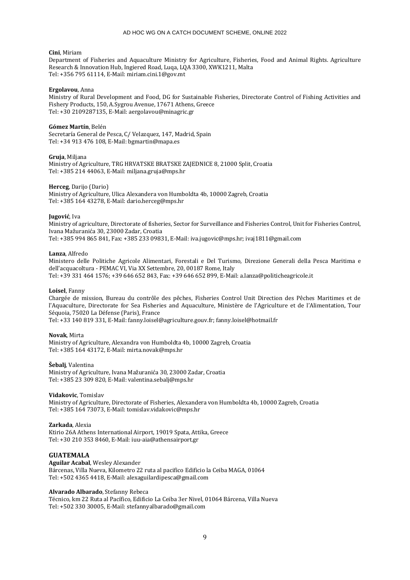### **Cini**, Miriam

Department of Fisheries and Aquaculture Ministry for Agriculture, Fisheries, Food and Animal Rights. Agriculture Research & Innovation Hub, Ingiered Road, Luqa, LQA 3300, XWK1211, Malta Tel: +356 795 61114, E-Mail: miriam.cini.1@gov.mt

#### **Ergolavou**, Anna

Ministry of Rural Development and Food, DG for Sustainable Fisheries, Directorate Control of Fishing Activities and Fishery Products, 150, A.Sygrou Avenue, 17671 Athens, Greece Tel: +30 2109287135, E-Mail: aergolavou@minagric.gr

#### **Gómez Martín**, Belén

Secretaría General de Pesca, C/ Velazquez, 147, Madrid, Spain Tel: +34 913 476 108, E-Mail: bgmartin@mapa.es

#### **Gruja**, Miljana

Ministry of Agriculture, TRG HRVATSKE BRATSKE ZAJEDNICE 8, 21000 Split, Croatia Tel: +385 214 44063, E-Mail: miljana.gruja@mps.hr

#### **Herceg**, Darijo (Dario)

Ministry of Agriculture, Ulica Alexandera von Humboldta 4b, 10000 Zagreb, Croatia Tel: +385 164 43278, E-Mail: dario.herceg@mps.hr

#### **Jugović**, Iva

Ministry of agriculture, Directorate of fisheries, Sector for Surveillance and Fisheries Control, Unit for Fisheries Control, Ivana Mažuranića 30, 23000 Zadar, Croatia Tel: +385 994 865 841, Fax: +385 233 09831, E-Mail: iva.jugovic@mps.hr; ivaj1811@gmail.com

#### **Lanza**, Alfredo

Ministero delle Politiche Agricole Alimentari, Forestali e Del Turismo, Direzione Generali della Pesca Maritima e dell'acquacoltura - PEMAC VI, Via XX Settembre, 20, 00187 Rome, Italy Tel: +39 331 464 1576; +39 646 652 843, Fax: +39 646 652 899, E-Mail: a.lanza@politicheagricole.it

#### **Loisel**, Fanny

Chargée de mission, Bureau du contrôle des pêches, Fisheries Control Unit Direction des Pêches Maritimes et de l'Aquaculture, Directorate for Sea Fisheries and Aquaculture, Ministère de l'Agriculture et de l'Alimentation, Tour Séquoia, 75020 La Défense (Paris), France

Tel: +33 140 819 331, E-Mail: fanny.loisel@agriculture.gouv.fr; fanny.loisel@hotmail.fr

#### **Novak**, Mirta

Ministry of Agriculture, Alexandra von Humboldta 4b, 10000 Zagreb, Croatia Tel: +385 164 43172, E-Mail: mirta.novak@mps.hr

#### **Šebalj**, Valentina

Ministry of Agriculture, Ivana Mažuranića 30, 23000 Zadar, Croatia Tel: +385 23 309 820, E-Mail: valentina.sebalj@mps.hr

#### **Vidakovic**, Tomislav

Ministry of Agriculture, Directorate of Fisheries, Alexandera von Humboldta 4b, 10000 Zagreb, Croatia Tel: +385 164 73073, E-Mail: tomislav.vidakovic@mps.hr

#### **Zarkada**, Alexia

Ktirio 26A Athens International Airport, 19019 Spata, Attika, Greece Tel: +30 210 353 8460, E-Mail: iuu-aia@athensairport.gr

## **GUATEMALA**

**Aguilar Acabal**, Wesley Alexander Bárcenas, Villa Nueva, Kilometro 22 ruta al pacifico Edificio la Ceiba MAGA, 01064 Tel: +502 4365 4418, E-Mail: alexaguilardipesca@gmail.com

#### **Alvarado Albarado**, Stefanny Rebeca

Técnico, km 22 Ruta al Pacífico, Edificio La Ceiba 3er Nivel, 01064 Bárcena, Villa Nueva Tel: +502 330 30005, E-Mail: stefannyalbarado@gmail.com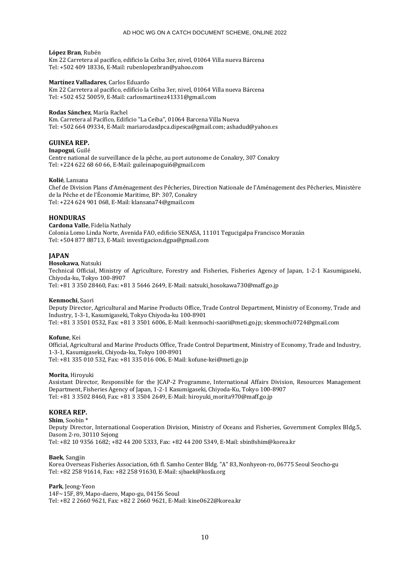### **López Bran**, Rubén

Km 22 Carretera al pacifico, edificio la Ceiba 3er, nivel, 01064 Villa nueva Bárcena Tel: +502 409 18336, E-Mail: rubenlopezbran@yahoo.com

### **Martínez Valladares**, Carlos Eduardo

Km 22 Carretera al pacifico, edificio la Ceiba 3er, nivel, 01064 Villa nueva Bárcena Tel: +502 452 50059, E-Mail: carlosmartinez41331@gmail.com

### **Rodas Sánchez**, María Rachel

Km. Carretera al Pacífico, Edificio "La Ceiba", 01064 Barcena Villa Nueva Tel: +502 664 09334, E-Mail: mariarodasdpca.dipesca@gmail.com; ashadud@yahoo.es

## **GUINEA REP.**

### **Inapogui**, Guilé

Centre national de surveillance de la pêche, au port autonome de Conakry, 307 Conakry Tel: +224 622 68 60 66, E-Mail: guileinapogui6@gmail.com

### **Kolié**, Lansana

Chef de Division Plans d'Aménagement des Pêcheries, Direction Nationale de l'Aménagement des Pêcheries, Ministère de la Pêche et de l'Économie Maritime, BP: 307, Conakry Tel: +224 624 901 068, E-Mail: klansana74@gmail.com

## **HONDURAS**

**Cardona Valle**, Fidelia Nathaly Colonia Lomo Linda Norte, Avenida FAO, edificio SENASA, 11101 Tegucigalpa Francisco Morazán Tel: +504 877 88713, E-Mail: investigacion.dgpa@gmail.com

## **JAPAN**

**Hosokawa**, Natsuki

Technical Official, Ministry of Agriculture, Forestry and Fisheries, Fisheries Agency of Japan, 1-2-1 Kasumigaseki, Chiyoda-ku, Tokyo 100-8907

Tel: +81 3 350 28460, Fax: +81 3 5646 2649, E-Mail: natsuki\_hosokawa730@maff.go.jp

## **Kenmochi**, Saori

Deputy Director, Agricultural and Marine Products Office, Trade Control Department, Ministry of Economy, Trade and Industry, 1-3-1, Kasumigaseki, Tokyo Chiyoda-ku 100-8901 Tel: +81 3 3501 0532, Fax: +81 3 3501 6006, E-Mail: kenmochi-saori@meti.go.jp; skenmochi0724@gmail.com

#### **Kofune**, Kei

Official, Agricultural and Marine Products Office, Trade Control Department, Ministry of Economy, Trade and Industry, 1-3-1, Kasumigaseki, Chiyoda-ku, Tokyo 100-8901 Tel: +81 335 010 532, Fax: +81 335 016 006, E-Mail: kofune-kei@meti.go.jp

#### **Morita**, Hiroyuki

Assistant Director, Responsible for the JCAP-2 Programme, International Affairs Division, Resources Management Department, Fisheries Agency of Japan, 1-2-1 Kasumigaseki, Chiyoda-Ku, Tokyo 100-8907 Tel: +81 3 3502 8460, Fax: +81 3 3504 2649, E-Mail: hiroyuki\_morita970@maff.go.jp

## **KOREA REP.**

### **Shim**, Soobin \*

Deputy Director, International Cooperation Division, Ministry of Oceans and Fisheries, Government Complex Bldg.5, Dasom 2-ro, 30110 Sejong

Tel: +82 10 9356 1682; +82 44 200 5333, Fax: +82 44 200 5349, E-Mail: sbin8shim@korea.kr

#### **Baek**, Sangjin

Korea Overseas Fisheries Association, 6th fl. Samho Center Bldg. "A" 83, Nonhyeon-ro, 06775 Seoul Seocho-gu Tel: +82 258 91614, Fax: +82 258 91630, E-Mail: sjbaek@kosfa.org

#### **Park**, Jeong-Yeon

14F~15F, 89, Mapo-daero, Mapo-gu, 04156 Seoul Tel: +82 2 2660 9621, Fax: +82 2 2660 9621, E-Mail: kine0622@korea.kr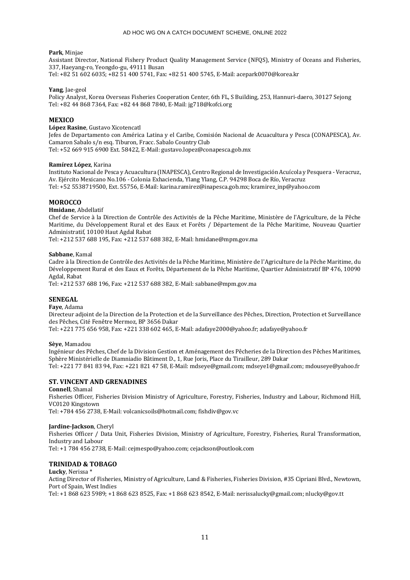#### **Park**, Minjae

Assistant Director, National Fishery Product Quality Management Service (NFQS), Ministry of Oceans and Fisheries, 337, Haeyang-ro, Yeongdo-gu, 49111 Busan

Tel: +82 51 602 6035; +82 51 400 5741, Fax: +82 51 400 5745, E-Mail: acepark0070@korea.kr

#### **Yang**, Jae-geol

Policy Analyst, Korea Overseas Fisheries Cooperation Center, 6th FL, S Building, 253, Hannuri-daero, 30127 Sejong Tel: +82 44 868 7364, Fax: +82 44 868 7840, E-Mail: jg718@kofci.org

## **MEXICO**

#### **López Rasine**, Gustavo Xicotencatl

Jefes de Departamento con América Latina y el Caribe, Comisión Nacional de Acuacultura y Pesca (CONAPESCA), Av. Camaron Sabalo s/n esq. Tiburon, Fracc. Sabalo Country Club Tel: +52 669 915 6900 Ext. 58422, E-Mail: gustavo.lopez@conapesca.gob.mx

## **Ramírez López**, Karina

Instituto Nacional de Pesca y Acuacultura (INAPESCA), Centro Regional de Investigación Acuícola y Pesquera - Veracruz, Av. Ejército Mexicano No.106 - Colonia Exhacienda, Ylang Ylang, C.P. 94298 Boca de Río, Veracruz Tel: +52 5538719500, Ext. 55756, E-Mail: karina.ramirez@inapesca.gob.mx; kramirez\_inp@yahoo.com

## **MOROCCO**

## **Hmidane**, Abdellatif

Chef de Service à la Direction de Contrôle des Activités de la Pêche Maritime, Ministère de l'Agriculture, de la Pêche Maritime, du Développement Rural et des Eaux et Forêts / Département de la Pêche Maritime, Nouveau Quartier Administratif, 10100 Haut Agdal Rabat

Tel: +212 537 688 195, Fax: +212 537 688 382, E-Mail: hmidane@mpm.gov.ma

### **Sabbane**, Kamal

Cadre à la Direction de Contrôle des Activités de la Pêche Maritime, Ministère de l'Agriculture de la Pêche Maritime, du Développement Rural et des Eaux et Forêts, Département de la Pêche Maritime, Quartier Administratif BP 476, 10090 Agdal, Rabat

Tel: +212 537 688 196, Fax: +212 537 688 382, E-Mail: sabbane@mpm.gov.ma

## **SENEGAL**

### **Faye**, Adama

Directeur adjoint de la Direction de la Protection et de la Surveillance des Pêches, Direction, Protection et Surveillance des Pêches, Cité Fenêtre Mermoz, BP 3656 Dakar

Tel: +221 775 656 958, Fax: +221 338 602 465, E-Mail: adafaye2000@yahoo.fr; adafaye@yahoo.fr

#### **Sèye**, Mamadou

Ingénieur des Pêches, Chef de la Division Gestion et Aménagement des Pêcheries de la Direction des Pêches Maritimes, Sphère Ministérielle de Diamniadio Bâtiment D., 1, Rue Joris, Place du Tirailleur, 289 Dakar Tel: +221 77 841 83 94, Fax: +221 821 47 58, E-Mail: mdseye@gmail.com; mdseye1@gmail.com; mdouseye@yahoo.fr

## **ST. VINCENT AND GRENADINES**

**Connell**, Shamal Fisheries Officer, Fisheries Division Ministry of Agriculture, Forestry, Fisheries, Industry and Labour, Richmond Hill, VC0120 Kingstown Tel: +784 456 2738, E-Mail: volcanicsoils@hotmail.com; fishdiv@gov.vc

#### **Jardine-Jackson**, Cheryl

Fisheries Officer / Data Unit, Fisheries Division, Ministry of Agriculture, Forestry, Fisheries, Rural Transformation, Industry and Labour

Tel: +1 784 456 2738, E-Mail: cejmespo@yahoo.com; cejackson@outlook.com

## **TRINIDAD & TOBAGO**

**Lucky**, Nerissa \* Acting Director of Fisheries, Ministry of Agriculture, Land & Fisheries, Fisheries Division, #35 Cipriani Blvd., Newtown, Port of Spain, West Indies

Tel: +1 868 623 5989; +1 868 623 8525, Fax: +1 868 623 8542, E-Mail: nerissalucky@gmail.com; nlucky@gov.tt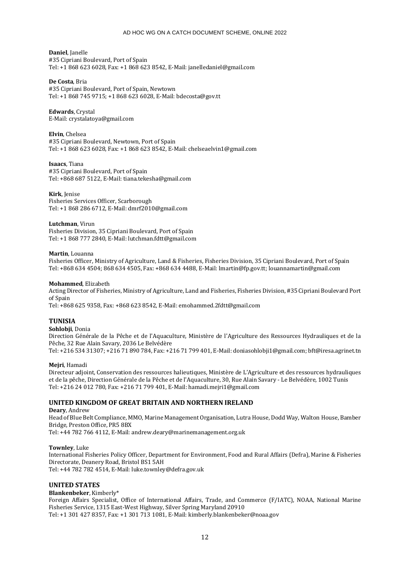## **Daniel**, Janelle

#35 Cipriani Boulevard, Port of Spain Tel: +1 868 623 6028, Fax: +1 868 623 8542, E-Mail: janelledaniel@gmail.com

## **De Costa**, Bria

#35 Cipriani Boulevard, Port of Spain, Newtown Tel: +1 868 745 9715; +1 868 623 6028, E-Mail: bdecosta@gov.tt

## **Edwards**, Crystal

E-Mail: crystalatoya@gmail.com

## **Elvin**, Chelsea

#35 Cipriani Boulevard, Newtown, Port of Spain Tel: +1 868 623 6028, Fax: +1 868 623 8542, E-Mail: chelseaelvin1@gmail.com

## **Isaacs**, Tiana

#35 Cipriani Boulevard, Port of Spain Tel: +868 687 5122, E-Mail: tiana.tekesha@gmail.com

## **Kirk**, Jenise

Fisheries Services Officer, Scarborough Tel: +1 868 286 6712, E-Mail: dmrf2010@gmail.com

### **Lutchman**, Virun

Fisheries Division, 35 Cipriani Boulevard, Port of Spain Tel: +1 868 777 2840, E-Mail: lutchman.fdtt@gmail.com

### **Martin**, Louanna

Fisheries Officer, Ministry of Agriculture, Land & Fisheries, Fisheries Division, 35 Cipriani Boulevard, Port of Spain Tel: +868 634 4504; 868 634 4505, Fax: +868 634 4488, E-Mail: lmartin@fp.gov.tt; louannamartin@gmail.com

### **Mohammed**, Elizabeth

Acting Director of Fisheries, Ministry of Agriculture, Land and Fisheries, Fisheries Division, #35 Cipriani Boulevard Port of Spain

Tel: +868 625 9358, Fax: +868 623 8542, E-Mail: emohammed.2fdtt@gmail.com

## **TUNISIA**

## **Sohlobji**, Donia

Direction Générale de la Pêche et de l'Aquaculture, Ministère de l'Agriculture des Ressources Hydrauliques et de la Pêche, 32 Rue Alain Savary, 2036 Le Belvédère Tel: +216 534 31307; +216 71 890 784, Fax: +216 71 799 401, E-Mail: doniasohlobji1@gmail.com; bft@iresa.agrinet.tn

## **Mejri**, Hamadi

Directeur adjoint, Conservation des ressources halieutiques, Ministère de L'Agriculture et des ressources hydrauliques et de la pêche, Direction Générale de la Pêche et de l'Aquaculture, 30, Rue Alain Savary - Le Belvédère, 1002 Tunis Tel: +216 24 012 780, Fax: +216 71 799 401, E-Mail: hamadi.mejri1@gmail.com

## **UNITED KINGDOM OF GREAT BRITAIN AND NORTHERN IRELAND**

### **Deary**, Andrew Head of Blue Belt Compliance, MMO, Marine Management Organisation, Lutra House, Dodd Way, Walton House, Bamber Bridge, Preston Office, PR5 8BX Tel: +44 782 766 4112, E-Mail: andrew.deary@marinemanagement.org.uk

## **Townley**, Luke

International Fisheries Policy Officer, Department for Environment, Food and Rural Affairs (Defra), Marine & Fisheries Directorate, Deanery Road, Bristol BS1 5AH Tel: +44 782 782 4514, E-Mail: luke.townley@defra.gov.uk

## **UNITED STATES**

**Blankenbeker**, Kimberly\* Foreign Affairs Specialist, Office of International Affairs, Trade, and Commerce (F/IATC), NOAA, National Marine Fisheries Service, 1315 East-West Highway, Silver Spring Maryland 20910 Tel: +1 301 427 8357, Fax: +1 301 713 1081, E-Mail: kimberly.blankenbeker@noaa.gov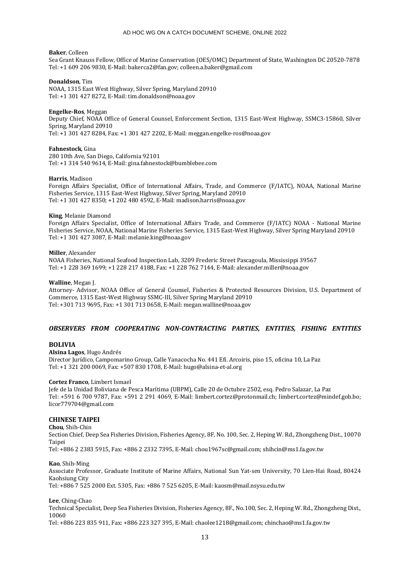#### **Baker**, Colleen

Sea Grant Knauss Fellow, Office of Marine Conservation (OES/OMC) Department of State, Washington DC 20520-7878 Tel: +1 609 206 9830, E-Mail: bakerca2@fan.gov; colleen.a.baker@gmail.com

#### **Donaldson**, Tim

NOAA, 1315 East West Highway, Silver Spring, Maryland 20910 Tel: +1 301 427 8272, E-Mail: tim.donaldson@noaa.gov

#### **Engelke-Ros**, Meggan

Deputy Chief, NOAA Office of General Counsel, Enforcement Section, 1315 East-West Highway, SSMC3-15860, Silver Spring, Maryland 20910 Tel: +1 301 427 8284, Fax: +1 301 427 2202, E-Mail: meggan.engelke-ros@noaa.gov

**Fahnestock**, Gina

280 10th Ave, San Diego, California 92101 Tel: +1 314 540 9614, E-Mail: gina.fahnestock@bumblebee.com

#### **Harris**, Madison

Foreign Affairs Specialist, Office of International Affairs, Trade, and Commerce (F/IATC), NOAA, National Marine Fisheries Service, 1315 East-West Highway, Silver Spring, Maryland 20910 Tel: +1 301 427 8350; +1 202 480 4592, E-Mail: madison.harris@noaa.gov

#### **King**, Melanie Diamond

Foreign Affairs Specialist, Office of International Affairs Trade, and Commerce (F/IATC) NOAA - National Marine Fisheries Service, NOAA, National Marine Fisheries Service, 1315 East-West Highway, Silver Spring Maryland 20910 Tel: +1 301 427 3087, E-Mail: melanie.king@noaa.gov

#### **Miller**, Alexander

NOAA Fisheries, National Seafood Inspection Lab, 3209 Frederic Street Pascagoula, Mississippi 39567 Tel: +1 228 369 1699; +1 228 217 4188, Fax: +1 228 762 7144, E-Mail: alexander.miller@noaa.gov

## **Walline**, Megan J.

Attorney- Advisor, NOAA Office of General Counsel, Fisheries & Protected Resources Division, U.S. Department of Commerce, 1315 East-West Highway SSMC-III, Silver Spring Maryland 20910 Tel: +301 713 9695, Fax: +1 301 713 0658, E-Mail: megan.walline@noaa.gov

## *OBSERVERS FROM COOPERATING NON-CONTRACTING PARTIES, ENTITIES, FISHING ENTITIES*

## **BOLIVIA**

**Alsina Lagos**, Hugo Andrés Director Jurídico, Campomarino Group, Calle Yanacocha No. 441 Efi. Arcoiris, piso 15, oficina 10, La Paz Tel: +1 321 200 0069, Fax: +507 830 1708, E-Mail: hugo@alsina-et-al.org

#### **Cortez Franco**, Limbert Ismael

Jefe de la Unidad Boliviana de Pesca Marítima (UBPM), Calle 20 de Octubre 2502, esq. Pedro Salazar, La Paz Tel: +591 6 700 9787, Fax: +591 2 291 4069, E-Mail: limbert.cortez@protonmail.ch; limbert.cortez@mindef.gob.bo; licor779704@gmail.com

## **CHINESE TAIPEI**

**Chou**, Shih-Chin Section Chief, Deep Sea Fisheries Division, Fisheries Agency, 8F, No. 100, Sec. 2, Heping W. Rd., Zhongzheng Dist., 10070 Taipei Tel: +886 2 2383 5915, Fax: +886 2 2332 7395, E-Mail: chou1967sc@gmail.com; shihcin@ms1.fa.gov.tw

**Kao**, Shih-Ming

Associate Professor, Graduate Institute of Marine Affairs, National Sun Yat-sen University, 70 Lien-Hai Road, 80424 Kaohsiung City Tel: +886 7 525 2000 Ext. 5305, Fax: +886 7 525 6205, E-Mail: kaosm@mail.nsysu.edu.tw

**Lee**, Ching-Chao

Technical Specialist, Deep Sea Fisheries Division, Fisheries Agency, 8F., No.100, Sec. 2, Heping W. Rd., Zhongzheng Dist., 10060

Tel: +886 223 835 911, Fax: +886 223 327 395, E-Mail: chaolee1218@gmail.com; chinchao@ms1.fa.gov.tw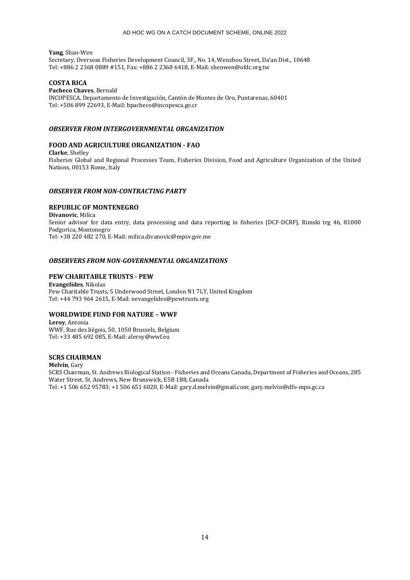**Yang**, Shan-Wen Secretary, Overseas Fisheries Development Council, 3F., No. 14, Wenzhou Street, Da'an Dist., 10648 Tel: +886 2 2368 0889 #151, Fax: +886 2 2368 6418, E-Mail: shenwen@ofdc.org.tw

## **COSTA RICA**

**Pacheco Chaves**, Bernald INCOPESCA, Departamento de Investigación, Cantón de Montes de Oro, Puntarenas, 60401 Tel: +506 899 22693, E-Mail: bpacheco@incopesca.go.cr

## *OBSERVER FROM INTERGOVERNMENTAL ORGANIZATION*

## **FOOD AND AGRICULTURE ORGANIZATION - FAO**

**Clarke**, Shelley Fisheries Global and Regional Processes Team, Fisheries Division, Food and Agriculture Organization of the United Nations, 00153 Rome, Italy

## *OBSERVER FROM NON-CONTRACTING PARTY*

# **REPUBLIC OF MONTENEGRO**

**Divanovic**, Milica Senior advisor for data entry, data processing and data reporting in fisheries (DCF-DCRF), Rimski trg 46, 81000 Podgorica, Montenegro Tel: +38 220 482 270, E-Mail: milica.divanovic@mpsv.gov.me

## *OBSERVERS FROM NON-GOVERNMENTAL ORGANIZATIONS*

## **PEW CHARITABLE TRUSTS - PEW**

**Evangelides**, Nikolas Pew Charitable Trusts, 5 Underwood Street, London N1 7LY, United Kingdom Tel: +44 793 964 2615, E-Mail: nevangelides@pewtrusts.org

## **WORLDWIDE FUND FOR NATURE – WWF**

**Leroy**, Antonia WWF, Rue des liégois, 50, 1050 Brussels, Belgium Tel: +33 485 692 085, E-Mail: aleroy@wwf.eu

## **SCRS CHAIRMAN**

**Melvin**, Gary SCRS Chairman, St. Andrews Biological Station - Fisheries and Oceans Canada, Department of Fisheries and Oceans, 285 Water Street, St. Andrews, New Brunswick, E5B 1B8, Canada Tel: +1 506 652 95783; +1 506 651 6020, E-Mail: gary.d.melvin@gmail.com; gary.melvin@dfo-mpo.gc.ca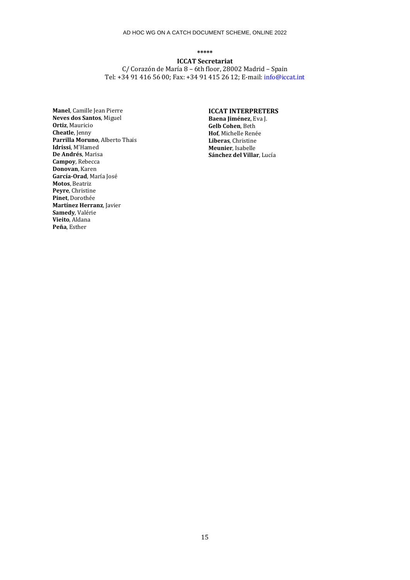**\*\*\*\*\***

**ICCAT Secretariat** C/ Corazón de María 8 – 6th floor, 28002 Madrid – Spain Tel: +34 91 416 56 00; Fax: +34 91 415 26 12; E-mail[: info@iccat.int](mailto:info@iccat.int)

**Manel**, Camille Jean Pierre **Neves dos Santos**, Miguel **Ortiz**, Mauricio **Cheatle**, Jenny **Parrilla Moruno**, Alberto Thais **Idrissi**, M'Hamed **De Andrés**, Marisa **Campoy**, Rebecca **Donovan**, Karen **García-Orad**, María José **Motos**, Beatriz **Peyre**, Christine **Pinet**, Dorothée **Martínez Herranz**, Javier **Samedy**, Valérie **Vieito**, Aldana **Peña**, Esther

# **ICCAT INTERPRETERS**

**Baena Jiménez**, Eva J. **Gelb Cohen**, Beth **Hof**, Michelle Renée **Liberas**, Christine **Meunier**, Isabelle **Sánchez del Villar**, Lucía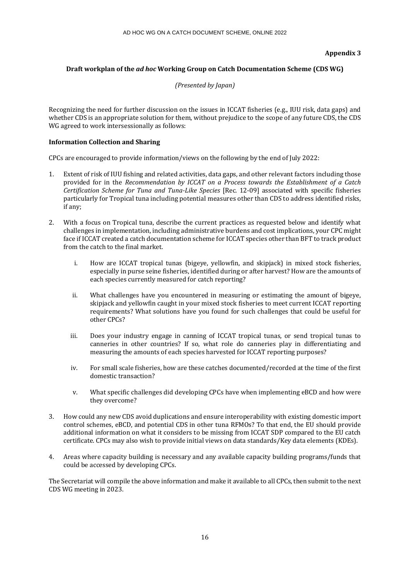## **Appendix 3**

## **Draft workplan of the** *ad hoc* **Working Group on Catch Documentation Scheme (CDS WG)**

*(Presented by Japan)*

Recognizing the need for further discussion on the issues in ICCAT fisheries (e.g., IUU risk, data gaps) and whether CDS is an appropriate solution for them, without prejudice to the scope of any future CDS, the CDS WG agreed to work intersessionally as follows:

## **Information Collection and Sharing**

CPCs are encouraged to provide information/views on the following by the end of July 2022:

- 1. Extent of risk of IUU fishing and related activities, data gaps, and other relevant factors including those provided for in the *Recommendation by ICCAT on a Process towards the Establishment of a Catch Certification Scheme for Tuna and Tuna-Like Species* [Rec. 12-09] associated with specific fisheries particularly for Tropical tuna including potential measures other than CDS to address identified risks, if any;
- 2. With a focus on Tropical tuna, describe the current practices as requested below and identify what challenges in implementation, including administrative burdens and cost implications, your CPC might face if ICCAT created a catch documentation scheme for ICCAT species other than BFT to track product from the catch to the final market.
	- i. How are ICCAT tropical tunas (bigeye, yellowfin, and skipjack) in mixed stock fisheries, especially in purse seine fisheries, identified during or after harvest? How are the amounts of each species currently measured for catch reporting?
	- ii. What challenges have you encountered in measuring or estimating the amount of bigeye, skipjack and yellowfin caught in your mixed stock fisheries to meet current ICCAT reporting requirements? What solutions have you found for such challenges that could be useful for other CPCs?
	- iii. Does your industry engage in canning of ICCAT tropical tunas, or send tropical tunas to canneries in other countries? If so, what role do canneries play in differentiating and measuring the amounts of each species harvested for ICCAT reporting purposes?
	- iv. For small scale fisheries, how are these catches documented/recorded at the time of the first domestic transaction?
	- v. What specific challenges did developing CPCs have when implementing eBCD and how were they overcome?
- 3. How could any new CDS avoid duplications and ensure interoperability with existing domestic import control schemes, eBCD, and potential CDS in other tuna RFMOs? To that end, the EU should provide additional information on what it considers to be missing from ICCAT SDP compared to the EU catch certificate. CPCs may also wish to provide initial views on data standards/Key data elements (KDEs).
- 4. Areas where capacity building is necessary and any available capacity building programs/funds that could be accessed by developing CPCs.

The Secretariat will compile the above information and make it available to all CPCs, then submit to the next CDS WG meeting in 2023.